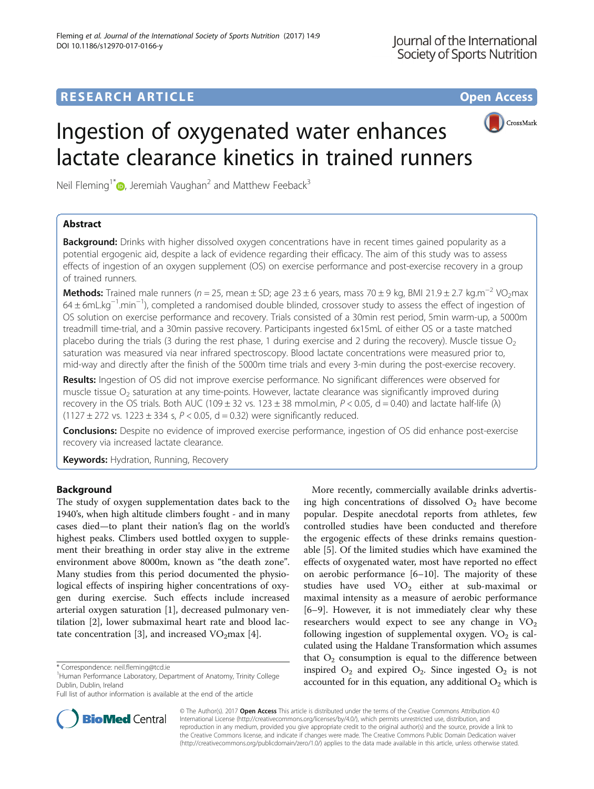## **RESEARCH ARTICLE Example 2014 12:30 The Contract of Contract ACCESS**



# Ingestion of oxygenated water enhances lactate clearance kinetics in trained runners

Neil Fleming<sup>1[\\*](http://orcid.org/0000-0003-1288-5363)</sup> $\odot$ , Jeremiah Vaughan<sup>2</sup> and Matthew Feeback<sup>3</sup>

## Abstract

**Background:** Drinks with higher dissolved oxygen concentrations have in recent times gained popularity as a potential ergogenic aid, despite a lack of evidence regarding their efficacy. The aim of this study was to assess effects of ingestion of an oxygen supplement (OS) on exercise performance and post-exercise recovery in a group of trained runners.

Methods: Trained male runners (n = 25, mean ± SD; age 23 ± 6 years, mass 70 ± 9 kg, BMI 21.9 ± 2.7 kg.m<sup>-2</sup> VO<sub>2</sub>max 64 ± 6mL.kg−<sup>1</sup> .min−<sup>1</sup> ), completed a randomised double blinded, crossover study to assess the effect of ingestion of OS solution on exercise performance and recovery. Trials consisted of a 30min rest period, 5min warm-up, a 5000m treadmill time-trial, and a 30min passive recovery. Participants ingested 6x15mL of either OS or a taste matched placebo during the trials (3 during the rest phase, 1 during exercise and 2 during the recovery). Muscle tissue  $O<sub>2</sub>$ saturation was measured via near infrared spectroscopy. Blood lactate concentrations were measured prior to, mid-way and directly after the finish of the 5000m time trials and every 3-min during the post-exercise recovery.

Results: Ingestion of OS did not improve exercise performance. No significant differences were observed for muscle tissue  $O<sub>2</sub>$  saturation at any time-points. However, lactate clearance was significantly improved during recovery in the OS trials. Both AUC (109  $\pm$  32 vs. 123  $\pm$  38 mmol.min, P < 0.05, d = 0.40) and lactate half-life ( $\lambda$ )  $(1127 \pm 272 \text{ vs. } 1223 \pm 334 \text{ s}, P < 0.05, d = 0.32)$  were significantly reduced.

**Conclusions:** Despite no evidence of improved exercise performance, ingestion of OS did enhance post-exercise recovery via increased lactate clearance.

Keywords: Hydration, Running, Recovery

## Background

The study of oxygen supplementation dates back to the 1940's, when high altitude climbers fought - and in many cases died—to plant their nation's flag on the world's highest peaks. Climbers used bottled oxygen to supplement their breathing in order stay alive in the extreme environment above 8000m, known as "the death zone". Many studies from this period documented the physiological effects of inspiring higher concentrations of oxygen during exercise. Such effects include increased arterial oxygen saturation [\[1](#page-6-0)], decreased pulmonary ventilation [[2](#page-6-0)], lower submaximal heart rate and blood lac-tate concentration [[3\]](#page-6-0), and increased  $VO<sub>2</sub>max$  [[4\]](#page-6-0).

Full list of author information is available at the end of the article





© The Author(s). 2017 **Open Access** This article is distributed under the terms of the Creative Commons Attribution 4.0 International License [\(http://creativecommons.org/licenses/by/4.0/](http://creativecommons.org/licenses/by/4.0/)), which permits unrestricted use, distribution, and reproduction in any medium, provided you give appropriate credit to the original author(s) and the source, provide a link to the Creative Commons license, and indicate if changes were made. The Creative Commons Public Domain Dedication waiver [\(http://creativecommons.org/publicdomain/zero/1.0/](http://creativecommons.org/publicdomain/zero/1.0/)) applies to the data made available in this article, unless otherwise stated.

<sup>\*</sup> Correspondence: [neil.fleming@tcd.ie](mailto:neil.fleming@tcd.ie) <sup>1</sup>

<sup>&</sup>lt;sup>1</sup>Human Performance Laboratory, Department of Anatomy, Trinity College Dublin, Dublin, Ireland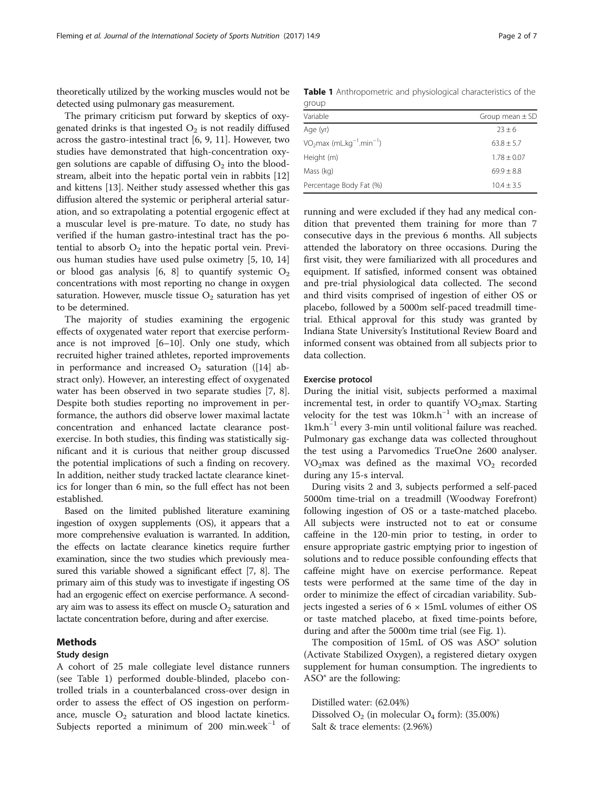<span id="page-1-0"></span>theoretically utilized by the working muscles would not be detected using pulmonary gas measurement.

The primary criticism put forward by skeptics of oxygenated drinks is that ingested  $O<sub>2</sub>$  is not readily diffused across the gastro-intestinal tract [\[6](#page-6-0), [9, 11\]](#page-6-0). However, two studies have demonstrated that high-concentration oxygen solutions are capable of diffusing  $O_2$  into the bloodstream, albeit into the hepatic portal vein in rabbits [[12](#page-6-0)] and kittens [[13\]](#page-6-0). Neither study assessed whether this gas diffusion altered the systemic or peripheral arterial saturation, and so extrapolating a potential ergogenic effect at a muscular level is pre-mature. To date, no study has verified if the human gastro-intestinal tract has the potential to absorb  $O_2$  into the hepatic portal vein. Previous human studies have used pulse oximetry [\[5](#page-6-0), [10, 14](#page-6-0)] or blood gas analysis [\[6, 8\]](#page-6-0) to quantify systemic  $O_2$ concentrations with most reporting no change in oxygen saturation. However, muscle tissue  $O_2$  saturation has yet to be determined.

The majority of studies examining the ergogenic effects of oxygenated water report that exercise performance is not improved [\[6](#page-6-0)–[10\]](#page-6-0). Only one study, which recruited higher trained athletes, reported improvements in performance and increased  $O_2$  saturation ([\[14](#page-6-0)] abstract only). However, an interesting effect of oxygenated water has been observed in two separate studies [\[7](#page-6-0), [8](#page-6-0)]. Despite both studies reporting no improvement in performance, the authors did observe lower maximal lactate concentration and enhanced lactate clearance postexercise. In both studies, this finding was statistically significant and it is curious that neither group discussed the potential implications of such a finding on recovery. In addition, neither study tracked lactate clearance kinetics for longer than 6 min, so the full effect has not been established.

Based on the limited published literature examining ingestion of oxygen supplements (OS), it appears that a more comprehensive evaluation is warranted. In addition, the effects on lactate clearance kinetics require further examination, since the two studies which previously measured this variable showed a significant effect [[7, 8\]](#page-6-0). The primary aim of this study was to investigate if ingesting OS had an ergogenic effect on exercise performance. A secondary aim was to assess its effect on muscle  $O_2$  saturation and lactate concentration before, during and after exercise.

## Methods

#### Study design

A cohort of 25 male collegiate level distance runners (see Table 1) performed double-blinded, placebo controlled trials in a counterbalanced cross-over design in order to assess the effect of OS ingestion on performance, muscle  $O_2$  saturation and blood lactate kinetics. Subjects reported a minimum of 200 min.week $^{-1}$  of

Table 1 Anthropometric and physiological characteristics of the group

| $-1.1 - 1.1 - 1.1$                                            |                     |
|---------------------------------------------------------------|---------------------|
| Variable                                                      | Group mean $\pm$ SD |
| Age (yr)                                                      | $23 \pm 6$          |
| VO <sub>2</sub> max (mL.kg <sup>-1</sup> .min <sup>-1</sup> ) | $63.8 \pm 5.7$      |
| Height (m)                                                    | $1.78 \pm 0.07$     |
| Mass (kg)                                                     | $69.9 + 8.8$        |
| Percentage Body Fat (%)                                       | $10.4 + 3.5$        |
|                                                               |                     |

running and were excluded if they had any medical condition that prevented them training for more than 7 consecutive days in the previous 6 months. All subjects attended the laboratory on three occasions. During the first visit, they were familiarized with all procedures and equipment. If satisfied, informed consent was obtained and pre-trial physiological data collected. The second and third visits comprised of ingestion of either OS or placebo, followed by a 5000m self-paced treadmill timetrial. Ethical approval for this study was granted by Indiana State University's Institutional Review Board and informed consent was obtained from all subjects prior to data collection.

#### Exercise protocol

During the initial visit, subjects performed a maximal incremental test, in order to quantify  $VO<sub>2</sub>max$ . Starting velocity for the test was 10km.h<sup>-1</sup> with an increase of 1km.h−<sup>1</sup> every 3-min until volitional failure was reached. Pulmonary gas exchange data was collected throughout the test using a Parvomedics TrueOne 2600 analyser.  $VO<sub>2</sub>$ max was defined as the maximal  $VO<sub>2</sub>$  recorded during any 15-s interval.

During visits 2 and 3, subjects performed a self-paced 5000m time-trial on a treadmill (Woodway Forefront) following ingestion of OS or a taste-matched placebo. All subjects were instructed not to eat or consume caffeine in the 120-min prior to testing, in order to ensure appropriate gastric emptying prior to ingestion of solutions and to reduce possible confounding effects that caffeine might have on exercise performance. Repeat tests were performed at the same time of the day in order to minimize the effect of circadian variability. Subjects ingested a series of  $6 \times 15$ mL volumes of either OS or taste matched placebo, at fixed time-points before, during and after the 5000m time trial (see Fig. [1](#page-2-0)).

The composition of 15mL of OS was ASO® solution (Activate Stabilized Oxygen), a registered dietary oxygen supplement for human consumption. The ingredients to ASO® are the following:

Distilled water: (62.04%) Dissolved  $O_2$  (in molecular  $O_4$  form): (35.00%) Salt & trace elements: (2.96%)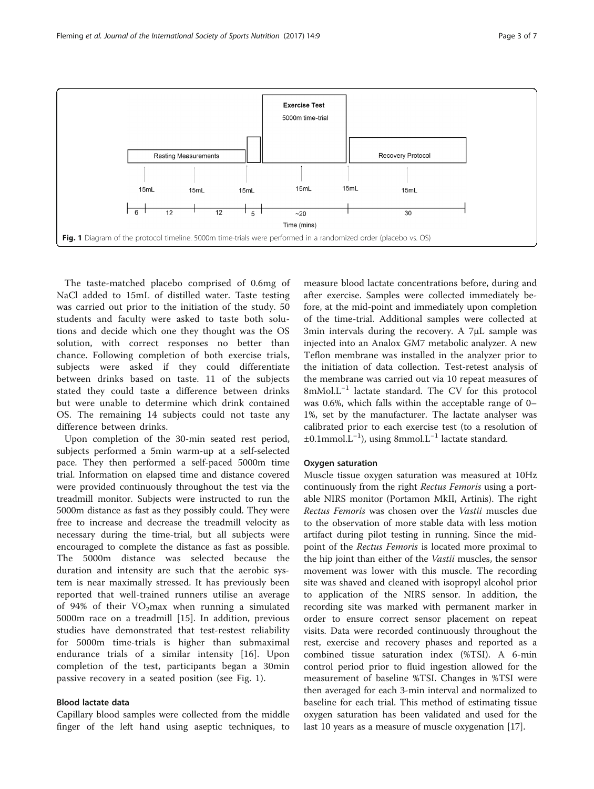<span id="page-2-0"></span>

The taste-matched placebo comprised of 0.6mg of NaCl added to 15mL of distilled water. Taste testing was carried out prior to the initiation of the study. 50 students and faculty were asked to taste both solutions and decide which one they thought was the OS solution, with correct responses no better than chance. Following completion of both exercise trials, subjects were asked if they could differentiate between drinks based on taste. 11 of the subjects stated they could taste a difference between drinks but were unable to determine which drink contained OS. The remaining 14 subjects could not taste any difference between drinks.

Upon completion of the 30-min seated rest period, subjects performed a 5min warm-up at a self-selected pace. They then performed a self-paced 5000m time trial. Information on elapsed time and distance covered were provided continuously throughout the test via the treadmill monitor. Subjects were instructed to run the 5000m distance as fast as they possibly could. They were free to increase and decrease the treadmill velocity as necessary during the time-trial, but all subjects were encouraged to complete the distance as fast as possible. The 5000m distance was selected because the duration and intensity are such that the aerobic system is near maximally stressed. It has previously been reported that well-trained runners utilise an average of 94% of their  $VO<sub>2</sub>max$  when running a simulated 5000m race on a treadmill [[15\]](#page-6-0). In addition, previous studies have demonstrated that test-restest reliability for 5000m time-trials is higher than submaximal endurance trials of a similar intensity [[16\]](#page-6-0). Upon completion of the test, participants began a 30min passive recovery in a seated position (see Fig. 1).

## Blood lactate data

Capillary blood samples were collected from the middle finger of the left hand using aseptic techniques, to

measure blood lactate concentrations before, during and after exercise. Samples were collected immediately before, at the mid-point and immediately upon completion of the time-trial. Additional samples were collected at 3min intervals during the recovery. A 7μL sample was injected into an Analox GM7 metabolic analyzer. A new Teflon membrane was installed in the analyzer prior to the initiation of data collection. Test-retest analysis of the membrane was carried out via 10 repeat measures of 8mMol.L−<sup>1</sup> lactate standard. The CV for this protocol was 0.6%, which falls within the acceptable range of 0– 1%, set by the manufacturer. The lactate analyser was calibrated prior to each exercise test (to a resolution of ±0.1mmol.L−<sup>1</sup> ), using 8mmol.L−<sup>1</sup> lactate standard.

#### Oxygen saturation

Muscle tissue oxygen saturation was measured at 10Hz continuously from the right Rectus Femoris using a portable NIRS monitor (Portamon MkII, Artinis). The right Rectus Femoris was chosen over the Vastii muscles due to the observation of more stable data with less motion artifact during pilot testing in running. Since the midpoint of the Rectus Femoris is located more proximal to the hip joint than either of the Vastii muscles, the sensor movement was lower with this muscle. The recording site was shaved and cleaned with isopropyl alcohol prior to application of the NIRS sensor. In addition, the recording site was marked with permanent marker in order to ensure correct sensor placement on repeat visits. Data were recorded continuously throughout the rest, exercise and recovery phases and reported as a combined tissue saturation index (%TSI). A 6-min control period prior to fluid ingestion allowed for the measurement of baseline %TSI. Changes in %TSI were then averaged for each 3-min interval and normalized to baseline for each trial. This method of estimating tissue oxygen saturation has been validated and used for the last 10 years as a measure of muscle oxygenation [[17\]](#page-6-0).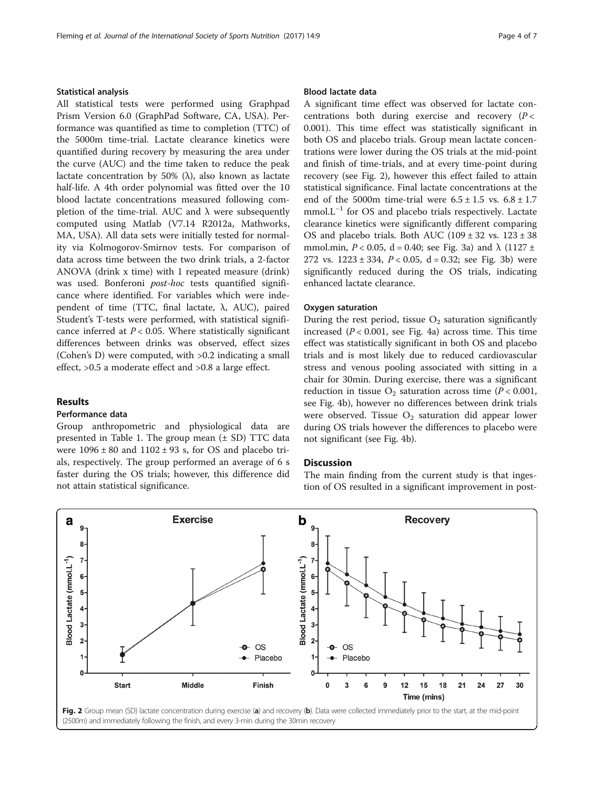## Statistical analysis

All statistical tests were performed using Graphpad Prism Version 6.0 (GraphPad Software, CA, USA). Performance was quantified as time to completion (TTC) of the 5000m time-trial. Lactate clearance kinetics were quantified during recovery by measuring the area under the curve (AUC) and the time taken to reduce the peak lactate concentration by 50% (λ), also known as lactate half-life. A 4th order polynomial was fitted over the 10 blood lactate concentrations measured following completion of the time-trial. AUC and  $λ$  were subsequently computed using Matlab (V7.14 R2012a, Mathworks, MA, USA). All data sets were initially tested for normality via Kolmogorov-Smirnov tests. For comparison of data across time between the two drink trials, a 2-factor ANOVA (drink x time) with 1 repeated measure (drink) was used. Bonferoni post-hoc tests quantified significance where identified. For variables which were independent of time (TTC, final lactate,  $λ$ , AUC), paired Student's T-tests were performed, with statistical significance inferred at  $P < 0.05$ . Where statistically significant differences between drinks was observed, effect sizes (Cohen's D) were computed, with >0.2 indicating a small effect, >0.5 a moderate effect and >0.8 a large effect.

#### Results

## Performance data

Group anthropometric and physiological data are presented in Table [1](#page-1-0). The group mean  $(\pm SD)$  TTC data were  $1096 \pm 80$  and  $1102 \pm 93$  s, for OS and placebo trials, respectively. The group performed an average of 6 s faster during the OS trials; however, this difference did not attain statistical significance.

#### Blood lactate data

A significant time effect was observed for lactate concentrations both during exercise and recovery  $(P <$ 0.001). This time effect was statistically significant in both OS and placebo trials. Group mean lactate concentrations were lower during the OS trials at the mid-point and finish of time-trials, and at every time-point during recovery (see Fig. 2), however this effect failed to attain statistical significance. Final lactate concentrations at the end of the 5000m time-trial were  $6.5 \pm 1.5$  vs.  $6.8 \pm 1.7$ mmol.L<sup>-1</sup> for OS and placebo trials respectively. Lactate clearance kinetics were significantly different comparing OS and placebo trials. Both AUC  $(109 \pm 32 \text{ vs. } 123 \pm 38$ mmol.min,  $P < 0.05$ , d = 0.40; see Fig. [3a](#page-4-0)) and  $\lambda$  (1127 ± 272 vs.  $1223 \pm 334$ ,  $P < 0.05$ ,  $d = 0.32$ ; see Fig. [3b\)](#page-4-0) were significantly reduced during the OS trials, indicating enhanced lactate clearance.

#### Oxygen saturation

During the rest period, tissue  $O_2$  saturation significantly increased  $(P < 0.001$ , see Fig. [4a\)](#page-4-0) across time. This time effect was statistically significant in both OS and placebo trials and is most likely due to reduced cardiovascular stress and venous pooling associated with sitting in a chair for 30min. During exercise, there was a significant reduction in tissue  $O_2$  saturation across time ( $P < 0.001$ , see Fig. [4b\)](#page-4-0), however no differences between drink trials were observed. Tissue  $O_2$  saturation did appear lower during OS trials however the differences to placebo were not significant (see Fig. [4b](#page-4-0)).

#### **Discussion**

The main finding from the current study is that ingestion of OS resulted in a significant improvement in post-

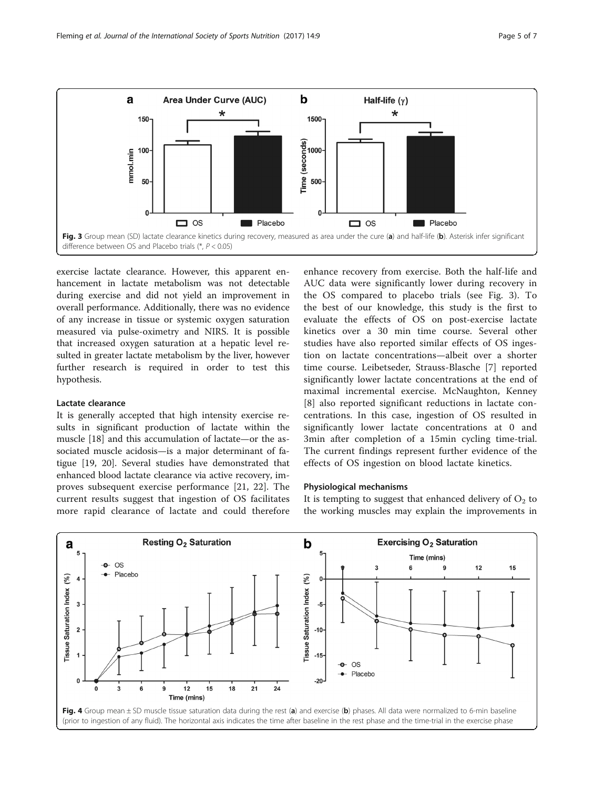<span id="page-4-0"></span>

exercise lactate clearance. However, this apparent enhancement in lactate metabolism was not detectable during exercise and did not yield an improvement in overall performance. Additionally, there was no evidence of any increase in tissue or systemic oxygen saturation measured via pulse-oximetry and NIRS. It is possible that increased oxygen saturation at a hepatic level resulted in greater lactate metabolism by the liver, however further research is required in order to test this hypothesis.

## Lactate clearance

It is generally accepted that high intensity exercise results in significant production of lactate within the muscle [[18\]](#page-6-0) and this accumulation of lactate—or the associated muscle acidosis—is a major determinant of fatigue [\[19, 20\]](#page-6-0). Several studies have demonstrated that enhanced blood lactate clearance via active recovery, improves subsequent exercise performance [[21, 22](#page-6-0)]. The current results suggest that ingestion of OS facilitates more rapid clearance of lactate and could therefore

enhance recovery from exercise. Both the half-life and AUC data were significantly lower during recovery in the OS compared to placebo trials (see Fig. 3). To the best of our knowledge, this study is the first to evaluate the effects of OS on post-exercise lactate kinetics over a 30 min time course. Several other studies have also reported similar effects of OS ingestion on lactate concentrations—albeit over a shorter time course. Leibetseder, Strauss-Blasche [[7\]](#page-6-0) reported significantly lower lactate concentrations at the end of maximal incremental exercise. McNaughton, Kenney [[8\]](#page-6-0) also reported significant reductions in lactate concentrations. In this case, ingestion of OS resulted in significantly lower lactate concentrations at 0 and 3min after completion of a 15min cycling time-trial. The current findings represent further evidence of the effects of OS ingestion on blood lactate kinetics.

#### Physiological mechanisms

It is tempting to suggest that enhanced delivery of  $O_2$  to the working muscles may explain the improvements in

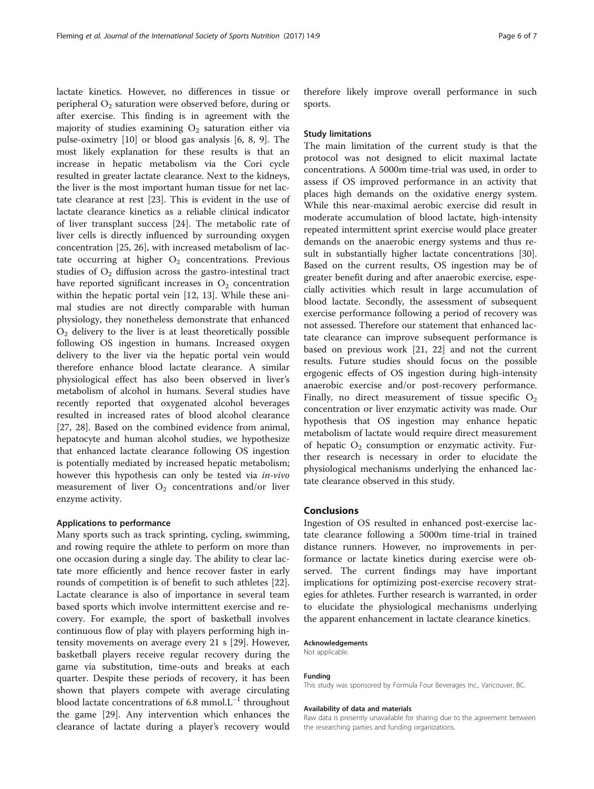lactate kinetics. However, no differences in tissue or peripheral  $O_2$  saturation were observed before, during or after exercise. This finding is in agreement with the majority of studies examining  $O_2$  saturation either via pulse-oximetry [\[10\]](#page-6-0) or blood gas analysis [[6, 8, 9\]](#page-6-0). The most likely explanation for these results is that an increase in hepatic metabolism via the Cori cycle resulted in greater lactate clearance. Next to the kidneys, the liver is the most important human tissue for net lactate clearance at rest [\[23](#page-6-0)]. This is evident in the use of lactate clearance kinetics as a reliable clinical indicator of liver transplant success [\[24](#page-6-0)]. The metabolic rate of liver cells is directly influenced by surrounding oxygen concentration [\[25](#page-6-0), [26](#page-6-0)], with increased metabolism of lactate occurring at higher  $O<sub>2</sub>$  concentrations. Previous studies of  $O<sub>2</sub>$  diffusion across the gastro-intestinal tract have reported significant increases in  $O<sub>2</sub>$  concentration within the hepatic portal vein [\[12, 13\]](#page-6-0). While these animal studies are not directly comparable with human physiology, they nonetheless demonstrate that enhanced  $O<sub>2</sub>$  delivery to the liver is at least theoretically possible following OS ingestion in humans. Increased oxygen delivery to the liver via the hepatic portal vein would therefore enhance blood lactate clearance. A similar physiological effect has also been observed in liver's metabolism of alcohol in humans. Several studies have recently reported that oxygenated alcohol beverages resulted in increased rates of blood alcohol clearance [[27, 28](#page-6-0)]. Based on the combined evidence from animal, hepatocyte and human alcohol studies, we hypothesize that enhanced lactate clearance following OS ingestion is potentially mediated by increased hepatic metabolism; however this hypothesis can only be tested via in-vivo measurement of liver  $O_2$  concentrations and/or liver enzyme activity.

#### Applications to performance

Many sports such as track sprinting, cycling, swimming, and rowing require the athlete to perform on more than one occasion during a single day. The ability to clear lactate more efficiently and hence recover faster in early rounds of competition is of benefit to such athletes [\[22](#page-6-0)]. Lactate clearance is also of importance in several team based sports which involve intermittent exercise and recovery. For example, the sport of basketball involves continuous flow of play with players performing high intensity movements on average every 21 s [[29\]](#page-6-0). However, basketball players receive regular recovery during the game via substitution, time-outs and breaks at each quarter. Despite these periods of recovery, it has been shown that players compete with average circulating blood lactate concentrations of 6.8 mmol.L−<sup>1</sup> throughout the game [[29](#page-6-0)]. Any intervention which enhances the clearance of lactate during a player's recovery would

therefore likely improve overall performance in such sports.

#### Study limitations

The main limitation of the current study is that the protocol was not designed to elicit maximal lactate concentrations. A 5000m time-trial was used, in order to assess if OS improved performance in an activity that places high demands on the oxidative energy system. While this near-maximal aerobic exercise did result in moderate accumulation of blood lactate, high-intensity repeated intermittent sprint exercise would place greater demands on the anaerobic energy systems and thus result in substantially higher lactate concentrations [\[30](#page-6-0)]. Based on the current results, OS ingestion may be of greater benefit during and after anaerobic exercise, especially activities which result in large accumulation of blood lactate. Secondly, the assessment of subsequent exercise performance following a period of recovery was not assessed. Therefore our statement that enhanced lactate clearance can improve subsequent performance is based on previous work [[21, 22\]](#page-6-0) and not the current results. Future studies should focus on the possible ergogenic effects of OS ingestion during high-intensity anaerobic exercise and/or post-recovery performance. Finally, no direct measurement of tissue specific  $O_2$ concentration or liver enzymatic activity was made. Our hypothesis that OS ingestion may enhance hepatic metabolism of lactate would require direct measurement of hepatic  $O_2$  consumption or enzymatic activity. Further research is necessary in order to elucidate the physiological mechanisms underlying the enhanced lactate clearance observed in this study.

#### Conclusions

Ingestion of OS resulted in enhanced post-exercise lactate clearance following a 5000m time-trial in trained distance runners. However, no improvements in performance or lactate kinetics during exercise were observed. The current findings may have important implications for optimizing post-exercise recovery strategies for athletes. Further research is warranted, in order to elucidate the physiological mechanisms underlying the apparent enhancement in lactate clearance kinetics.

#### Acknowledgements

Not applicable.

#### Funding

This study was sponsored by Formula Four Beverages Inc., Vancouver, BC.

#### Availability of data and materials

Raw data is presently unavailable for sharing due to the agreement between the researching parties and funding organizations.